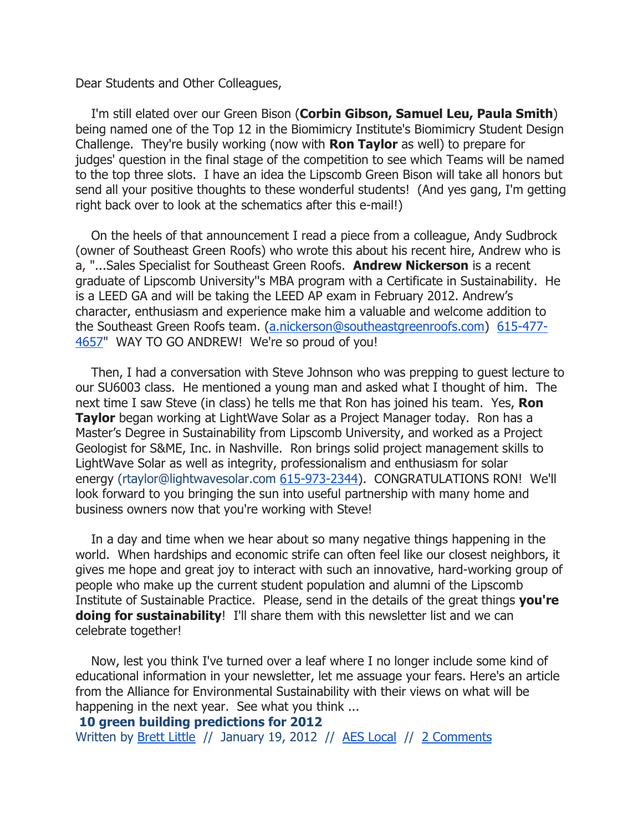Dear Students and Other Colleagues,

I'm still elated over our Green Bison (Corbin Gibson, Samuel Leu, Paula Smith) being named one of the Top 12 in the Biomimicry Institute's Biomimicry Student Design Challenge. They're busily working (now with Ron Taylor as well) to prepare for judges' question in the final stage of the competition to see which Teams will be named to the top three slots. I have an idea the Lipscomb Green Bison will take all honors but send all your positive thoughts to these wonderful students! (And yes gang, I'm getting right back over to look at the schematics after this e-mail!)

 On the heels of that announcement I read a piece from a colleague, Andy Sudbrock (owner of Southeast Green Roofs) who wrote this about his recent hire, Andrew who is a, "...Sales Specialist for Southeast Green Roofs. Andrew Nickerson is a recent graduate of Lipscomb University''s MBA program with a Certificate in Sustainability. He is a LEED GA and will be taking the LEED AP exam in February 2012. Andrew's character, enthusiasm and experience make him a valuable and welcome addition to the Southeast Green Roofs team. (a.nickerson@southeastgreenroofs.com) 615-477- 4657" WAY TO GO ANDREW! We're so proud of you!

 Then, I had a conversation with Steve Johnson who was prepping to guest lecture to our SU6003 class. He mentioned a young man and asked what I thought of him. The next time I saw Steve (in class) he tells me that Ron has joined his team. Yes, Ron **Taylor** began working at LightWave Solar as a Project Manager today. Ron has a Master's Degree in Sustainability from Lipscomb University, and worked as a Project Geologist for S&ME, Inc. in Nashville. Ron brings solid project management skills to LightWave Solar as well as integrity, professionalism and enthusiasm for solar energy (rtaylor@lightwavesolar.com 615-973-2344). CONGRATULATIONS RON! We'll look forward to you bringing the sun into useful partnership with many home and business owners now that you're working with Steve!

 In a day and time when we hear about so many negative things happening in the world. When hardships and economic strife can often feel like our closest neighbors, it gives me hope and great joy to interact with such an innovative, hard-working group of people who make up the current student population and alumni of the Lipscomb Institute of Sustainable Practice. Please, send in the details of the great things you're **doing for sustainability!** I'll share them with this newsletter list and we can celebrate together!

 Now, lest you think I've turned over a leaf where I no longer include some kind of educational information in your newsletter, let me assuage your fears. Here's an article from the Alliance for Environmental Sustainability with their views on what will be happening in the next year. See what you think ...

10 green building predictions for 2012

Written by Brett Little // January 19, 2012 // AES Local // 2 Comments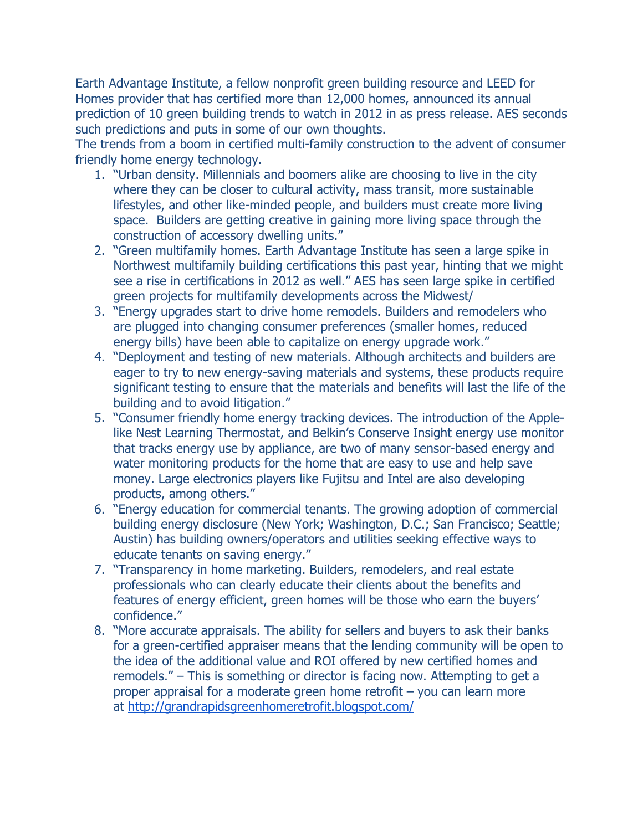Earth Advantage Institute, a fellow nonprofit green building resource and LEED for Homes provider that has certified more than 12,000 homes, announced its annual prediction of 10 green building trends to watch in 2012 in as press release. AES seconds such predictions and puts in some of our own thoughts.

The trends from a boom in certified multi-family construction to the advent of consumer friendly home energy technology.

- 1. "Urban density. Millennials and boomers alike are choosing to live in the city where they can be closer to cultural activity, mass transit, more sustainable lifestyles, and other like-minded people, and builders must create more living space. Builders are getting creative in gaining more living space through the construction of accessory dwelling units."
- 2. "Green multifamily homes. Earth Advantage Institute has seen a large spike in Northwest multifamily building certifications this past year, hinting that we might see a rise in certifications in 2012 as well." AES has seen large spike in certified green projects for multifamily developments across the Midwest/
- 3. "Energy upgrades start to drive home remodels. Builders and remodelers who are plugged into changing consumer preferences (smaller homes, reduced energy bills) have been able to capitalize on energy upgrade work."
- 4. "Deployment and testing of new materials. Although architects and builders are eager to try to new energy-saving materials and systems, these products require significant testing to ensure that the materials and benefits will last the life of the building and to avoid litigation."
- 5. "Consumer friendly home energy tracking devices. The introduction of the Applelike Nest Learning Thermostat, and Belkin's Conserve Insight energy use monitor that tracks energy use by appliance, are two of many sensor-based energy and water monitoring products for the home that are easy to use and help save money. Large electronics players like Fujitsu and Intel are also developing products, among others."
- 6. "Energy education for commercial tenants. The growing adoption of commercial building energy disclosure (New York; Washington, D.C.; San Francisco; Seattle; Austin) has building owners/operators and utilities seeking effective ways to educate tenants on saving energy."
- 7. "Transparency in home marketing. Builders, remodelers, and real estate professionals who can clearly educate their clients about the benefits and features of energy efficient, green homes will be those who earn the buyers' confidence."
- 8. "More accurate appraisals. The ability for sellers and buyers to ask their banks for a green-certified appraiser means that the lending community will be open to the idea of the additional value and ROI offered by new certified homes and remodels." – This is something or director is facing now. Attempting to get a proper appraisal for a moderate green home retrofit – you can learn more at http://grandrapidsgreenhomeretrofit.blogspot.com/